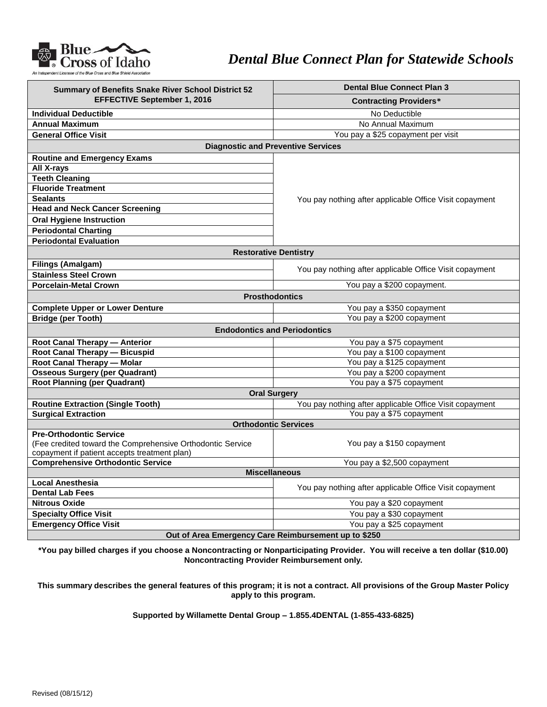

## *Dental Blue Connect Plan for Statewide Schools*

| Summary of Benefits Snake River School District 52         | <b>Dental Blue Connect Plan 3</b>                       |
|------------------------------------------------------------|---------------------------------------------------------|
| <b>EFFECTIVE September 1, 2016</b>                         | <b>Contracting Providers*</b>                           |
| <b>Individual Deductible</b>                               | No Deductible                                           |
| <b>Annual Maximum</b>                                      | No Annual Maximum                                       |
| <b>General Office Visit</b>                                | You pay a \$25 copayment per visit                      |
| <b>Diagnostic and Preventive Services</b>                  |                                                         |
| <b>Routine and Emergency Exams</b>                         | You pay nothing after applicable Office Visit copayment |
| All X-rays                                                 |                                                         |
| <b>Teeth Cleaning</b>                                      |                                                         |
| <b>Fluoride Treatment</b>                                  |                                                         |
| <b>Sealants</b>                                            |                                                         |
| <b>Head and Neck Cancer Screening</b>                      |                                                         |
| <b>Oral Hygiene Instruction</b>                            |                                                         |
| <b>Periodontal Charting</b>                                |                                                         |
| <b>Periodontal Evaluation</b>                              |                                                         |
| <b>Restorative Dentistry</b>                               |                                                         |
| <b>Filings (Amalgam)</b>                                   | You pay nothing after applicable Office Visit copayment |
| <b>Stainless Steel Crown</b>                               |                                                         |
| <b>Porcelain-Metal Crown</b>                               | You pay a \$200 copayment.                              |
| <b>Prosthodontics</b>                                      |                                                         |
| <b>Complete Upper or Lower Denture</b>                     | You pay a \$350 copayment                               |
| <b>Bridge (per Tooth)</b>                                  | You pay a \$200 copayment                               |
| <b>Endodontics and Periodontics</b>                        |                                                         |
| Root Canal Therapy - Anterior                              | You pay a \$75 copayment                                |
| Root Canal Therapy - Bicuspid                              | You pay a \$100 copayment                               |
| Root Canal Therapy - Molar                                 | You pay a \$125 copayment                               |
| <b>Osseous Surgery (per Quadrant)</b>                      | You pay a \$200 copayment                               |
| <b>Root Planning (per Quadrant)</b>                        | You pay a \$75 copayment                                |
| <b>Oral Surgery</b>                                        |                                                         |
| <b>Routine Extraction (Single Tooth)</b>                   | You pay nothing after applicable Office Visit copayment |
| <b>Surgical Extraction</b>                                 | You pay a \$75 copayment                                |
| <b>Orthodontic Services</b>                                |                                                         |
| <b>Pre-Orthodontic Service</b>                             |                                                         |
| (Fee credited toward the Comprehensive Orthodontic Service | You pay a \$150 copayment                               |
| copayment if patient accepts treatment plan)               |                                                         |
| <b>Comprehensive Orthodontic Service</b>                   | You pay a \$2,500 copayment                             |
| <b>Miscellaneous</b><br><b>Local Anesthesia</b>            |                                                         |
| <b>Dental Lab Fees</b>                                     | You pay nothing after applicable Office Visit copayment |
| <b>Nitrous Oxide</b>                                       |                                                         |
|                                                            | You pay a \$20 copayment                                |
| <b>Specialty Office Visit</b>                              | You pay a \$30 copayment                                |
| <b>Emergency Office Visit</b>                              | You pay a \$25 copayment                                |
| Out of Area Emergency Care Reimbursement up to \$250       |                                                         |

**\*You pay billed charges if you choose a Noncontracting or Nonparticipating Provider. You will receive a ten dollar (\$10.00) Noncontracting Provider Reimbursement only.**

**This summary describes the general features of this program; it is not a contract. All provisions of the Group Master Policy apply to this program.**

**Supported by Willamette Dental Group – 1.855.4DENTAL (1-855-433-6825)**